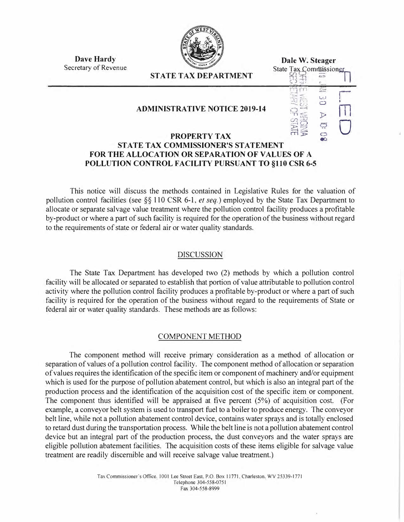

**Dave Hardy**  Secretary of Revenue

**ST ATE TAX DEPARTMENT** 

**ADMINISTRATIVE NOTICE 2019-14** 

#### **Dale W. Steager**  State Tax Commissioner  $\mathbb{S}^{11}$   $\epsilon$  $\frac{1}{2}$ **r**I **L1.J**   $\circ$  $\frac{1}{2}$ **THIS FO**  $\overline{C}$ ៊

 $\tilde{\bullet}$ 

### **PROPERTY TAX STATE TAX COMMISSIONER'S STATEMENT FOR THE ALLOCATION OR SEPARATION OF VALVES OF A POLLUTION CONTROL FACILITY PURSUANT TO §110 CSR 6-5**

This notice will discuss the methods contained in Legislative Rules for the valuation of pollution control facilities (see §§ 110 CSR 6-1, *et seq.)* employed by the State Tax Department to allocate or separate salvage value treatment where the pollution control facility produces a profitable by-product or where a part of such facility is required for the operation of the business without regard to the requirements of state or federal air or water quality standards.

# DISCUSSION

The State Tax Department has developed two (2) methods by which a pollution control facility will be allocated or separated to establish that portion of value attributable to pollution control activity where the pollution control facility produces a profitable by-product or where a part of such facility is required for the operation of the business without regard to the requirements of State or federal air or water quality standards. These methods are as follows:

# COMPONENT METHOD

The component method will receive primary consideration as a method of allocation or separation of values of a pollution control facility. The component method of allocation or separation of values requires the identification of the specific item or component of machinery and/or equipment which is used for the purpose of pollution abatement control, but which is also an integral part of the production process and the identification of the acquisition cost of the specific item or component. The component thus identified will be appraised at five percent (5%) of acquisition cost. (For example, a conveyor belt system is used to transport fuel to a boiler to produce energy. The conveyor belt line, while not a pollution abatement control device, contains water sprays and is totally enclosed to retard dust during the transportation process. While the belt line is not a pollution abatement control device but an integral part of the production process, the dust conveyors and the water sprays are eligible pollution abatement facilities. The acquisition costs of these items eligible for salvage value treatment are readily discernible and will receive salvage value treatment.)

> Tax Commissioner's Office. 1001 Lee Street East, P.O. Box 11771. Charleston. WV 25339-1771 Telephone 304-558-0751 Fax 304-558-8999